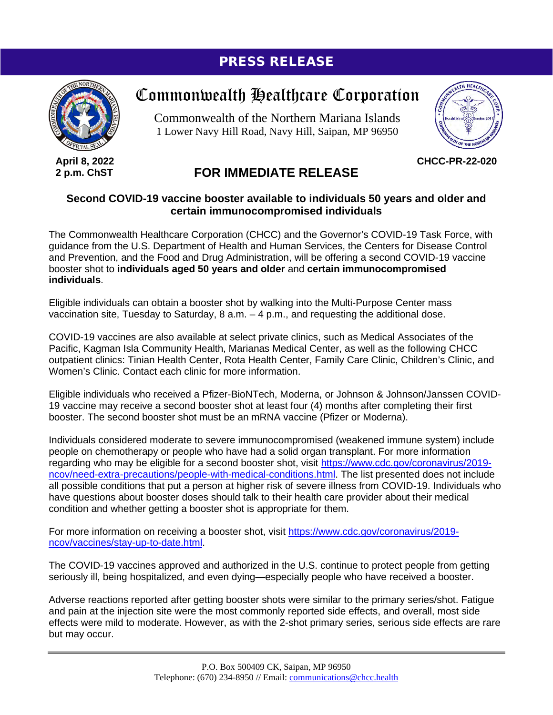## PRESS RELEASE



**April 8, 2022 2 p.m. ChST**

# Commonwealth Healthcare Corporation

Commonwealth of the Northern Mariana Islands 1 Lower Navy Hill Road, Navy Hill, Saipan, MP 96950



**CHCC-PR-22-020**

### **FOR IMMEDIATE RELEASE**

#### **Second COVID-19 vaccine booster available to individuals 50 years and older and certain immunocompromised individuals**

The Commonwealth Healthcare Corporation (CHCC) and the Governor's COVID-19 Task Force, with guidance from the U.S. Department of Health and Human Services, the Centers for Disease Control and Prevention, and the Food and Drug Administration, will be offering a second COVID-19 vaccine booster shot to **individuals aged 50 years and older** and **certain immunocompromised individuals**.

Eligible individuals can obtain a booster shot by walking into the Multi-Purpose Center mass vaccination site, Tuesday to Saturday,  $8$  a.m.  $-4$  p.m., and requesting the additional dose.

COVID-19 vaccines are also available at select private clinics, such as Medical Associates of the Pacific, Kagman Isla Community Health, Marianas Medical Center, as well as the following CHCC outpatient clinics: Tinian Health Center, Rota Health Center, Family Care Clinic, Children's Clinic, and Women's Clinic. Contact each clinic for more information.

Eligible individuals who received a Pfizer-BioNTech, Moderna, or Johnson & Johnson/Janssen COVID-19 vaccine may receive a second booster shot at least four (4) months after completing their first booster. The second booster shot must be an mRNA vaccine (Pfizer or Moderna).

Individuals considered moderate to severe immunocompromised (weakened immune system) include people on chemotherapy or people who have had a solid organ transplant. For more information regarding who may be eligible for a second booster shot, visit [https://www.cdc.gov/coronavirus/2019](https://www.cdc.gov/coronavirus/2019-ncov/need-extra-precautions/people-with-medical-conditions.html) [ncov/need-extra-precautions/people-with-medical-conditions.html.](https://www.cdc.gov/coronavirus/2019-ncov/need-extra-precautions/people-with-medical-conditions.html) The list presented does not include all possible conditions that put a person at higher risk of severe illness from COVID-19. Individuals who have questions about booster doses should talk to their health care provider about their medical condition and whether getting a booster shot is appropriate for them.

For more information on receiving a booster shot, visit [https://www.cdc.gov/coronavirus/2019](https://www.cdc.gov/coronavirus/2019-ncov/vaccines/stay-up-to-date.html) [ncov/vaccines/stay-up-to-date.html.](https://www.cdc.gov/coronavirus/2019-ncov/vaccines/stay-up-to-date.html)

The COVID-19 vaccines approved and authorized in the U.S. continue to protect people from getting seriously ill, being hospitalized, and even dying—especially people who have received a booster.

Adverse reactions reported after getting booster shots were similar to the primary series/shot. Fatigue and pain at the injection site were the most commonly reported side effects, and overall, most side effects were mild to moderate. However, as with the 2-shot primary series, serious side effects are rare but may occur.